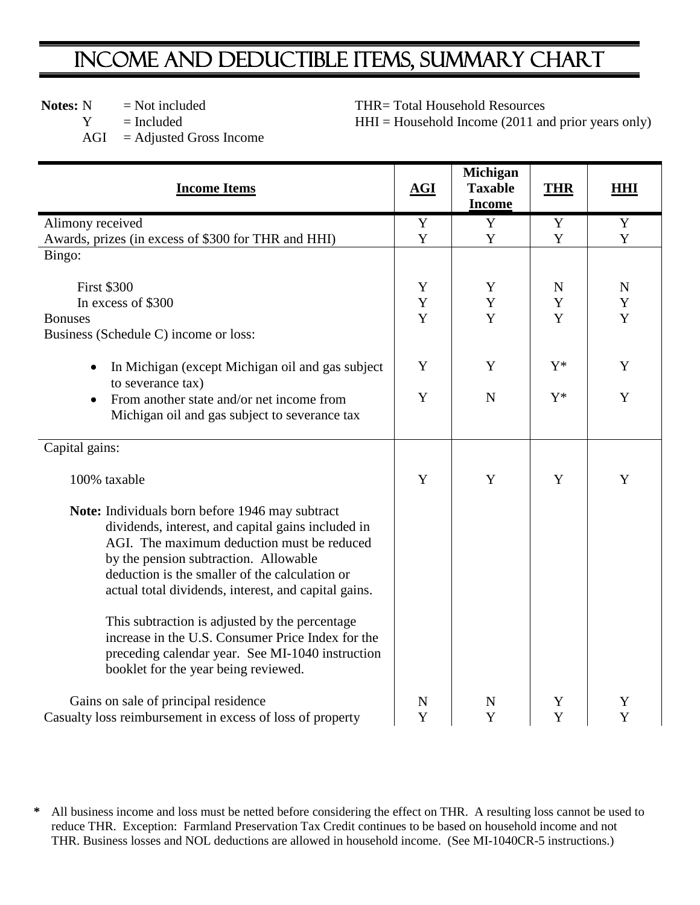## INCOME AND DEDUCTIBLE ITEMS, SUMMARY CHART

**Notes:**  $N = Not included$ 

 $Y = \text{included}$ 

THR= Total Household Resources

 $HHI = Household Income (2011 and prior years only)$ 

 $AGI = Adjusted Gross Income$ 

| <b>Income Items</b>                                                                                                                                                                                                                                                                                    | AGI            | <b>Michigan</b><br><b>Taxable</b><br><b>Income</b> | <b>THR</b>       | <b>HHI</b>       |
|--------------------------------------------------------------------------------------------------------------------------------------------------------------------------------------------------------------------------------------------------------------------------------------------------------|----------------|----------------------------------------------------|------------------|------------------|
| Alimony received                                                                                                                                                                                                                                                                                       | $\mathbf Y$    | Y                                                  | Y                | $\mathbf Y$      |
| Awards, prizes (in excess of \$300 for THR and HHI)                                                                                                                                                                                                                                                    | Y              | Y                                                  | Y                | $\mathbf Y$      |
| Bingo:                                                                                                                                                                                                                                                                                                 |                |                                                    |                  |                  |
| <b>First \$300</b>                                                                                                                                                                                                                                                                                     | Y              | Y                                                  | $\mathbf N$      | $\mathbf N$      |
| In excess of \$300                                                                                                                                                                                                                                                                                     | Y              | Y                                                  | Y                | Y                |
| <b>Bonuses</b>                                                                                                                                                                                                                                                                                         | Y              | Y                                                  | Y                | Y                |
| Business (Schedule C) income or loss:                                                                                                                                                                                                                                                                  |                |                                                    |                  |                  |
| In Michigan (except Michigan oil and gas subject<br>to severance tax)                                                                                                                                                                                                                                  | Y              | Y                                                  | $Y^*$            | Y                |
| From another state and/or net income from<br>$\bullet$<br>Michigan oil and gas subject to severance tax                                                                                                                                                                                                | Y              | ${\bf N}$                                          | $Y^*$            | Y                |
| Capital gains:                                                                                                                                                                                                                                                                                         |                |                                                    |                  |                  |
| 100% taxable                                                                                                                                                                                                                                                                                           | Y              | Y                                                  | Y                | Y                |
| Note: Individuals born before 1946 may subtract<br>dividends, interest, and capital gains included in<br>AGI. The maximum deduction must be reduced<br>by the pension subtraction. Allowable<br>deduction is the smaller of the calculation or<br>actual total dividends, interest, and capital gains. |                |                                                    |                  |                  |
| This subtraction is adjusted by the percentage<br>increase in the U.S. Consumer Price Index for the<br>preceding calendar year. See MI-1040 instruction<br>booklet for the year being reviewed.                                                                                                        |                |                                                    |                  |                  |
| Gains on sale of principal residence<br>Casualty loss reimbursement in excess of loss of property                                                                                                                                                                                                      | ${\bf N}$<br>Y | $\mathbf N$<br>Y                                   | Y<br>$\mathbf Y$ | Y<br>$\mathbf Y$ |

**<sup>\*</sup>** All business income and loss must be netted before considering the effect on THR. A resulting loss cannot be used to reduce THR. Exception: Farmland Preservation Tax Credit continues to be based on household income and not THR. Business losses and NOL deductions are allowed in household income. (See MI-1040CR-5 instructions.)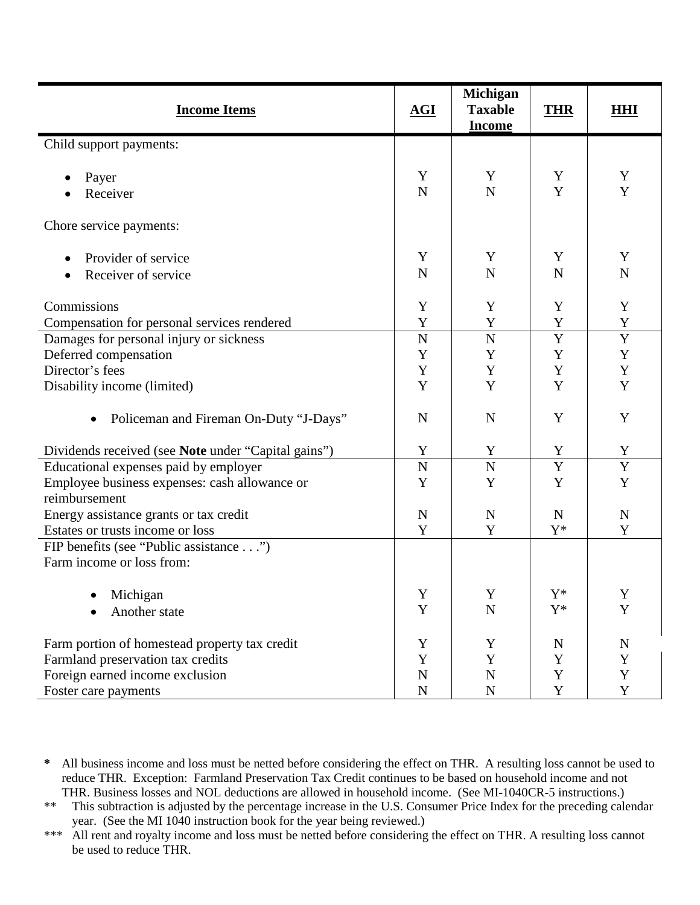| <b>Income Items</b>                                 | AGI         | Michigan<br><b>Taxable</b> | <b>THR</b>     | <b>HHI</b>     |
|-----------------------------------------------------|-------------|----------------------------|----------------|----------------|
|                                                     |             | <b>Income</b>              |                |                |
| Child support payments:                             |             |                            |                |                |
| Payer                                               | Y           | Y                          | Y              | Y              |
| Receiver                                            | $\mathbf N$ | $\mathbf N$                | Y              | $\mathbf Y$    |
|                                                     |             |                            |                |                |
| Chore service payments:                             |             |                            |                |                |
|                                                     |             |                            |                |                |
| Provider of service                                 | Y           | Y                          | Y              | Y              |
| Receiver of service                                 | $\mathbf N$ | $\mathbf N$                | N              | $\mathbf N$    |
|                                                     |             |                            |                |                |
| Commissions                                         | Y           | Y                          | Y              | Y              |
| Compensation for personal services rendered         | Y           | $\mathbf Y$                | $\mathbf Y$    | Y              |
| Damages for personal injury or sickness             | $\mathbf N$ | $\mathbf N$                | $\overline{Y}$ | $\overline{Y}$ |
| Deferred compensation                               | Y           | Y                          | Y              | $\mathbf Y$    |
| Director's fees                                     | Y           | Y                          | $\mathbf Y$    | Y              |
| Disability income (limited)                         | Y           | Y                          | $\mathbf Y$    | $\mathbf Y$    |
| Policeman and Fireman On-Duty "J-Days"              | $\mathbf N$ | $\mathbf N$                | Y              | Y              |
| Dividends received (see Note under "Capital gains") | Y           | Y                          | Y              | Y              |
| Educational expenses paid by employer               | $\mathbf N$ | $\overline{N}$             | $\overline{Y}$ | $\overline{Y}$ |
| Employee business expenses: cash allowance or       | Y           | Y                          | Y              | $\mathbf Y$    |
| reimbursement                                       |             |                            |                |                |
| Energy assistance grants or tax credit              | $\mathbf N$ | $\mathbf N$                | $\mathbf N$    | ${\bf N}$      |
| Estates or trusts income or loss                    | Y           | Y                          | $Y^*$          | Y              |
| FIP benefits (see "Public assistance")              |             |                            |                |                |
| Farm income or loss from:                           |             |                            |                |                |
|                                                     |             |                            |                |                |
| Michigan                                            | $\mathbf Y$ | $\mathbf Y$                | $\mathbf{Y}^*$ | $\mathbf Y$    |
| Another state                                       | Y           | $\overline{N}$             | $\mathbf{Y}^*$ | Y              |
| Farm portion of homestead property tax credit       | Y           | Y                          | $\mathbf N$    | N              |
| Farmland preservation tax credits                   | Y           | $\mathbf Y$                | Y              | Y              |
| Foreign earned income exclusion                     | $\mathbf N$ | $\mathbf N$                | Y              | $\mathbf Y$    |
| Foster care payments                                | ${\bf N}$   | ${\bf N}$                  | Y              | Y              |

**<sup>\*</sup>** All business income and loss must be netted before considering the effect on THR. A resulting loss cannot be used to reduce THR. Exception: Farmland Preservation Tax Credit continues to be based on household income and not THR. Business losses and NOL deductions are allowed in household income. (See MI-1040CR-5 instructions.)

<sup>\*\*</sup> This subtraction is adjusted by the percentage increase in the U.S. Consumer Price Index for the preceding calendar year. (See the MI 1040 instruction book for the year being reviewed.)

<sup>\*\*\*</sup> All rent and royalty income and loss must be netted before considering the effect on THR. A resulting loss cannot be used to reduce THR.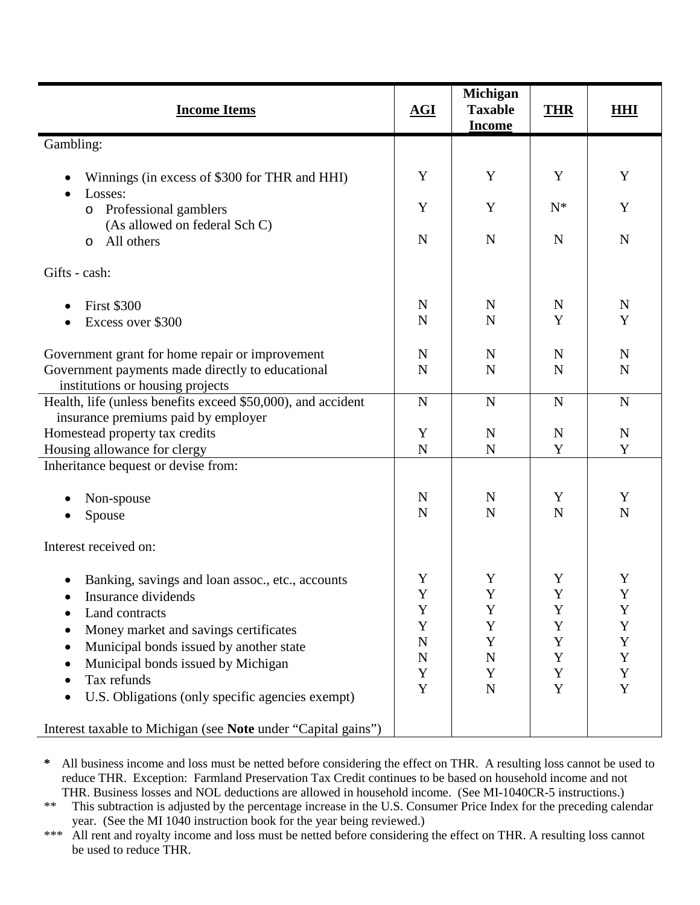| <b>Income Items</b>                                                                                 | AGI              | Michigan<br><b>Taxable</b><br><b>Income</b> | <b>THR</b>  | <b>HHI</b>  |
|-----------------------------------------------------------------------------------------------------|------------------|---------------------------------------------|-------------|-------------|
| Gambling:                                                                                           |                  |                                             |             |             |
| Winnings (in excess of \$300 for THR and HHI)<br>Losses:                                            | Y                | Y                                           | Y           | Y           |
| Professional gamblers<br>$\circ$<br>(As allowed on federal Sch C)                                   | Y                | Y                                           | $N^*$       | Y           |
| All others<br>$\circ$                                                                               | $\mathbf N$      | $\mathbf N$                                 | $\mathbf N$ | $\mathbf N$ |
| Gifts - cash:                                                                                       |                  |                                             |             |             |
| <b>First \$300</b>                                                                                  | N                | N                                           | N           | N           |
| Excess over \$300                                                                                   | $\mathbf N$      | $\mathbf N$                                 | Y           | Y           |
| Government grant for home repair or improvement                                                     | N                | N                                           | $\mathbf N$ | N           |
| Government payments made directly to educational<br>institutions or housing projects                | $\mathbf N$      | $\mathbf N$                                 | $\mathbf N$ | N           |
| Health, life (unless benefits exceed \$50,000), and accident<br>insurance premiums paid by employer | $\mathbf N$      | $\mathbf N$                                 | $\mathbf N$ | $\mathbf N$ |
| Homestead property tax credits                                                                      | Y                | $\mathbf N$                                 | $\mathbf N$ | N           |
| Housing allowance for clergy                                                                        | $\mathbf N$      | $\mathbf N$                                 | Y           | Y           |
| Inheritance bequest or devise from:                                                                 |                  |                                             |             |             |
| Non-spouse                                                                                          | N                | $\mathbf N$                                 | Y           | Y           |
| Spouse                                                                                              | $\mathbf N$      | $\mathbf N$                                 | $\mathbf N$ | $\mathbf N$ |
| Interest received on:                                                                               |                  |                                             |             |             |
| Banking, savings and loan assoc., etc., accounts                                                    | Y                | Y                                           | Y           | Y           |
| Insurance dividends                                                                                 | $\mathbf Y$      | $\mathbf Y$                                 | $\mathbf Y$ | $\mathbf Y$ |
| Land contracts                                                                                      | Y<br>Y           | Y<br>Y                                      | Y<br>Y      | Y           |
| Money market and savings certificates                                                               |                  | Y                                           | Y           | Y<br>Y      |
| Municipal bonds issued by another state                                                             | N<br>$\mathbf N$ | N                                           | Y           | Y           |
| Municipal bonds issued by Michigan                                                                  | Y                | Y                                           | $\mathbf Y$ | Y           |
| Tax refunds                                                                                         | Y                | $\mathbf N$                                 | Y           | Y           |
| U.S. Obligations (only specific agencies exempt)                                                    |                  |                                             |             |             |
| Interest taxable to Michigan (see Note under "Capital gains")                                       |                  |                                             |             |             |

**\*** All business income and loss must be netted before considering the effect on THR. A resulting loss cannot be used to reduce THR. Exception: Farmland Preservation Tax Credit continues to be based on household income and not THR. Business losses and NOL deductions are allowed in household income. (See MI-1040CR-5 instructions.)

\*\* This subtraction is adjusted by the percentage increase in the U.S. Consumer Price Index for the preceding calendar year. (See the MI 1040 instruction book for the year being reviewed.)

\*\*\* All rent and royalty income and loss must be netted before considering the effect on THR. A resulting loss cannot be used to reduce THR.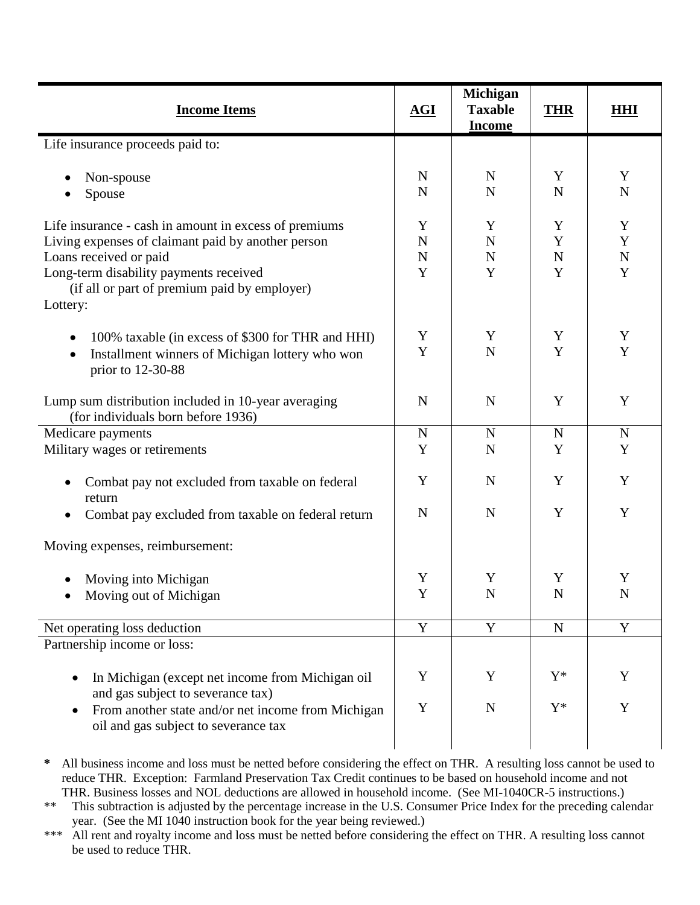| <b>Income Items</b>                                                                                                                                                                                                                         | AGI                                | Michigan<br><b>Taxable</b><br><b>Income</b> | <b>THR</b>                 | <b>HHI</b>                           |
|---------------------------------------------------------------------------------------------------------------------------------------------------------------------------------------------------------------------------------------------|------------------------------------|---------------------------------------------|----------------------------|--------------------------------------|
| Life insurance proceeds paid to:                                                                                                                                                                                                            |                                    |                                             |                            |                                      |
| Non-spouse<br>Spouse                                                                                                                                                                                                                        | $\mathbf N$<br>$\mathbf N$         | $\mathbf N$<br>${\bf N}$                    | Y<br>N                     | Y<br>${\bf N}$                       |
| Life insurance - cash in amount in excess of premiums<br>Living expenses of claimant paid by another person<br>Loans received or paid<br>Long-term disability payments received<br>(if all or part of premium paid by employer)<br>Lottery: | Y<br>${\bf N}$<br>$\mathbf N$<br>Y | Y<br>${\bf N}$<br>N<br>Y                    | Y<br>Y<br>$\mathbf N$<br>Y | Y<br>$\mathbf Y$<br>$\mathbf N$<br>Y |
| 100% taxable (in excess of \$300 for THR and HHI)<br>Installment winners of Michigan lottery who won<br>prior to 12-30-88                                                                                                                   | Y<br>Y                             | Y<br>$\mathbf N$                            | Y<br>Y                     | Y<br>Y                               |
| Lump sum distribution included in 10-year averaging<br>(for individuals born before 1936)                                                                                                                                                   | $\mathbf N$                        | ${\bf N}$                                   | Y                          | Y                                    |
| Medicare payments                                                                                                                                                                                                                           | ${\bf N}$                          | $\mathbf N$                                 | ${\bf N}$                  | $\mathbf N$                          |
| Military wages or retirements                                                                                                                                                                                                               | Y                                  | ${\bf N}$                                   | Y                          | Y                                    |
| Combat pay not excluded from taxable on federal<br>٠<br>return                                                                                                                                                                              | Y                                  | $\mathbf N$                                 | Y                          | Y                                    |
| Combat pay excluded from taxable on federal return<br>$\bullet$                                                                                                                                                                             | $\mathbf N$                        | $\mathbf N$                                 | Y                          | Y                                    |
| Moving expenses, reimbursement:                                                                                                                                                                                                             |                                    |                                             |                            |                                      |
| Moving into Michigan                                                                                                                                                                                                                        | Y                                  | Y                                           | Y                          | Y                                    |
| Moving out of Michigan                                                                                                                                                                                                                      | $\mathbf Y$                        | ${\bf N}$                                   | ${\bf N}$                  | ${\bf N}$                            |
| Net operating loss deduction                                                                                                                                                                                                                | $\mathbf Y$                        | $\mathbf Y$                                 | ${\bf N}$                  | $\mathbf Y$                          |
| Partnership income or loss:                                                                                                                                                                                                                 |                                    |                                             |                            |                                      |
| In Michigan (except net income from Michigan oil<br>$\bullet$<br>and gas subject to severance tax)                                                                                                                                          | Y                                  | Y                                           | $Y^*$                      | Y                                    |
| From another state and/or net income from Michigan<br>oil and gas subject to severance tax                                                                                                                                                  | Y                                  | ${\bf N}$                                   | $Y^*$                      | Y                                    |

**\*** All business income and loss must be netted before considering the effect on THR. A resulting loss cannot be used to reduce THR. Exception: Farmland Preservation Tax Credit continues to be based on household income and not THR. Business losses and NOL deductions are allowed in household income. (See MI-1040CR-5 instructions.)

\*\* This subtraction is adjusted by the percentage increase in the U.S. Consumer Price Index for the preceding calendar year. (See the MI 1040 instruction book for the year being reviewed.)

\*\*\* All rent and royalty income and loss must be netted before considering the effect on THR. A resulting loss cannot be used to reduce THR.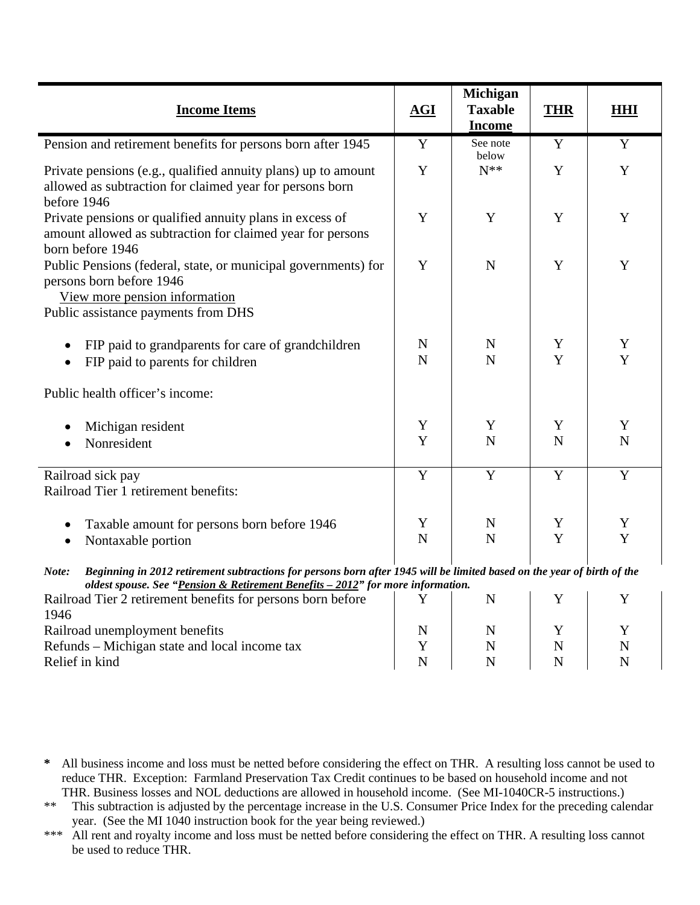| <b>Income Items</b>                                                                                                                                                                                                 | AGI            | Michigan<br><b>Taxable</b><br><b>Income</b> | <b>THR</b>     | <b>HHI</b> |
|---------------------------------------------------------------------------------------------------------------------------------------------------------------------------------------------------------------------|----------------|---------------------------------------------|----------------|------------|
| Pension and retirement benefits for persons born after 1945                                                                                                                                                         | Y              | See note<br>below                           | Y              | Y          |
| Private pensions (e.g., qualified annuity plans) up to amount<br>allowed as subtraction for claimed year for persons born<br>before 1946                                                                            | Y              | $N^**$                                      | Y              | Y          |
| Private pensions or qualified annuity plans in excess of<br>amount allowed as subtraction for claimed year for persons<br>born before 1946                                                                          | Y              | Y                                           | Y              | Y          |
| Public Pensions (federal, state, or municipal governments) for<br>persons born before 1946<br>View more pension information<br>Public assistance payments from DHS                                                  | Y              | $\mathbf N$                                 | Y              | Y          |
| FIP paid to grandparents for care of grandchildren<br>FIP paid to parents for children                                                                                                                              | N<br>N         | N<br>N                                      | Y<br>Y         | Y<br>Y     |
| Public health officer's income:                                                                                                                                                                                     |                |                                             |                |            |
| Michigan resident<br>Nonresident                                                                                                                                                                                    | Y<br>Y         | Y<br>N                                      | Y<br>N         | Y<br>N     |
| Railroad sick pay<br>Railroad Tier 1 retirement benefits:                                                                                                                                                           | $\overline{Y}$ | $\overline{Y}$                              | $\overline{Y}$ | Y          |
| Taxable amount for persons born before 1946<br>Nontaxable portion<br>$\bullet$                                                                                                                                      | Y<br>N         | $\mathbf N$<br>$\mathbf N$                  | Y<br>Y         | Y<br>Y     |
| Beginning in 2012 retirement subtractions for persons born after 1945 will be limited based on the year of birth of the<br>Note:<br>oldest spouse. See "Pension & Retirement Benefits - 2012" for more information. |                |                                             |                |            |

| <i>Unitsi spoust.</i> Dee Tension & Kenement Denems = 2012 for more information. |  |   |
|----------------------------------------------------------------------------------|--|---|
| Railroad Tier 2 retirement benefits for persons born before                      |  |   |
| 1946                                                                             |  |   |
| Railroad unemployment benefits                                                   |  |   |
| Refunds – Michigan state and local income tax                                    |  | N |
| Relief in kind                                                                   |  |   |

- **\*** All business income and loss must be netted before considering the effect on THR. A resulting loss cannot be used to reduce THR. Exception: Farmland Preservation Tax Credit continues to be based on household income and not THR. Business losses and NOL deductions are allowed in household income. (See MI-1040CR-5 instructions.)
- \*\* This subtraction is adjusted by the percentage increase in the U.S. Consumer Price Index for the preceding calendar year. (See the MI 1040 instruction book for the year being reviewed.)
- \*\*\* All rent and royalty income and loss must be netted before considering the effect on THR. A resulting loss cannot be used to reduce THR.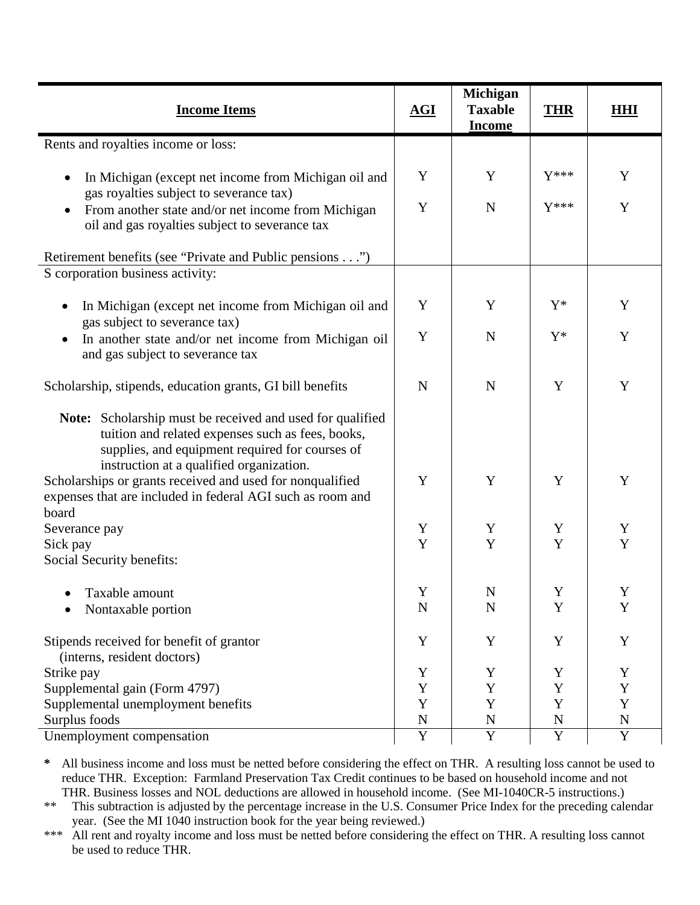| <b>Income Items</b>                                                                                                                                                                                                  | AGI         | Michigan<br><b>Taxable</b> | <b>THR</b>  | HHI         |
|----------------------------------------------------------------------------------------------------------------------------------------------------------------------------------------------------------------------|-------------|----------------------------|-------------|-------------|
|                                                                                                                                                                                                                      |             | <b>Income</b>              |             |             |
| Rents and royalties income or loss:                                                                                                                                                                                  |             |                            |             |             |
| In Michigan (except net income from Michigan oil and<br>gas royalties subject to severance tax)                                                                                                                      | Y           | Y                          | $Y***$      | Y           |
| From another state and/or net income from Michigan<br>$\bullet$<br>oil and gas royalties subject to severance tax                                                                                                    | Y           | $\mathbf N$                | $Y***$      | Y           |
| Retirement benefits (see "Private and Public pensions")                                                                                                                                                              |             |                            |             |             |
| S corporation business activity:                                                                                                                                                                                     |             |                            |             |             |
| In Michigan (except net income from Michigan oil and<br>gas subject to severance tax)                                                                                                                                | Y           | Y                          | $Y^*$       | Y           |
| In another state and/or net income from Michigan oil<br>$\bullet$<br>and gas subject to severance tax                                                                                                                | Y           | N                          | $Y^*$       | Y           |
| Scholarship, stipends, education grants, GI bill benefits                                                                                                                                                            | N           | N                          | Y           | Y           |
| <b>Note:</b> Scholarship must be received and used for qualified<br>tuition and related expenses such as fees, books,<br>supplies, and equipment required for courses of<br>instruction at a qualified organization. |             |                            |             |             |
| Scholarships or grants received and used for nonqualified<br>expenses that are included in federal AGI such as room and<br>board                                                                                     | Y           | Y                          | Y           | Y           |
| Severance pay                                                                                                                                                                                                        | Y           | Y                          | Y           | Y           |
| Sick pay                                                                                                                                                                                                             | Y           | Y                          | Y           | Y           |
| Social Security benefits:                                                                                                                                                                                            |             |                            |             |             |
| • Taxable amount                                                                                                                                                                                                     | Y           | N                          | Y           | Y           |
| Nontaxable portion                                                                                                                                                                                                   | $\mathbf N$ | $\mathbf N$                | Y           | $\mathbf Y$ |
|                                                                                                                                                                                                                      | Y           | $\mathbf Y$                | Y           |             |
| Stipends received for benefit of grantor<br>(interns, resident doctors)                                                                                                                                              |             |                            |             | $\mathbf Y$ |
| Strike pay                                                                                                                                                                                                           | Y           | Y                          | Y           | Y           |
| Supplemental gain (Form 4797)                                                                                                                                                                                        | Y           | Y                          | Y           | Y           |
| Supplemental unemployment benefits                                                                                                                                                                                   | $\mathbf Y$ | Y                          | $\mathbf Y$ | Y           |
| Surplus foods                                                                                                                                                                                                        | ${\bf N}$   | N                          | N           | $\mathbf N$ |
| Unemployment compensation                                                                                                                                                                                            | $\mathbf Y$ | Y                          | $\mathbf Y$ | $\mathbf Y$ |

**\*** All business income and loss must be netted before considering the effect on THR. A resulting loss cannot be used to reduce THR. Exception: Farmland Preservation Tax Credit continues to be based on household income and not THR. Business losses and NOL deductions are allowed in household income. (See MI-1040CR-5 instructions.)

\*\* This subtraction is adjusted by the percentage increase in the U.S. Consumer Price Index for the preceding calendar year. (See the MI 1040 instruction book for the year being reviewed.)

\*\*\* All rent and royalty income and loss must be netted before considering the effect on THR. A resulting loss cannot be used to reduce THR.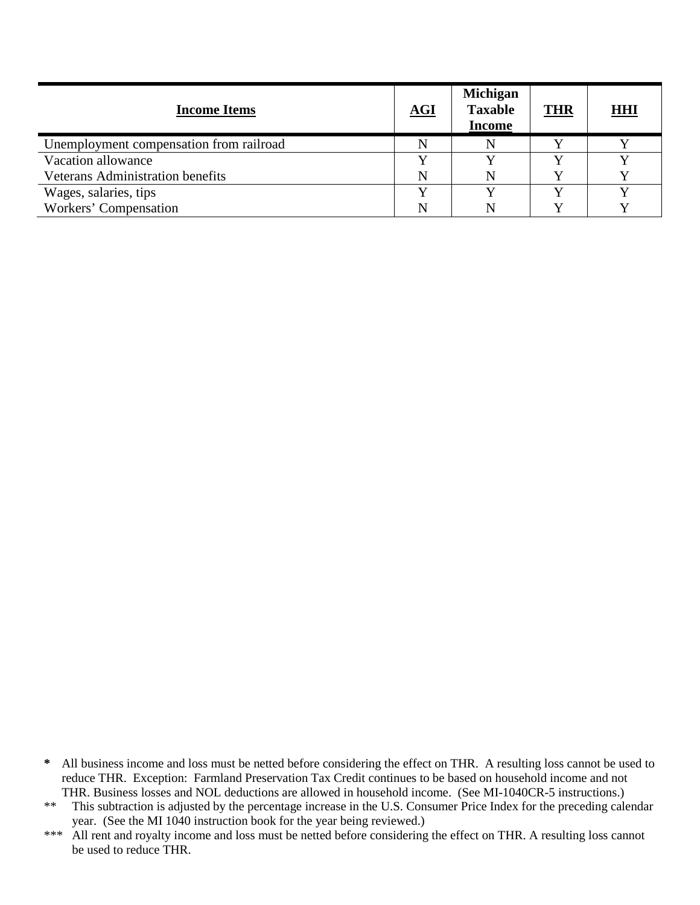| <b>Income Items</b>                     | $\underline{\mathbf{AGI}}$ | <b>Michigan</b><br><b>Taxable</b><br><b>Income</b> | <b>THR</b> | <b>HHI</b> |
|-----------------------------------------|----------------------------|----------------------------------------------------|------------|------------|
| Unemployment compensation from railroad |                            | N                                                  |            |            |
| Vacation allowance                      |                            |                                                    |            |            |
| <b>Veterans Administration benefits</b> | N                          | N                                                  |            |            |
| Wages, salaries, tips                   |                            |                                                    |            |            |
| Workers' Compensation                   | N                          | N                                                  |            |            |

**<sup>\*</sup>** All business income and loss must be netted before considering the effect on THR. A resulting loss cannot be used to reduce THR. Exception: Farmland Preservation Tax Credit continues to be based on household income and not THR. Business losses and NOL deductions are allowed in household income. (See MI-1040CR-5 instructions.)

<sup>\*\*</sup> This subtraction is adjusted by the percentage increase in the U.S. Consumer Price Index for the preceding calendar year. (See the MI 1040 instruction book for the year being reviewed.)

<sup>\*\*\*</sup> All rent and royalty income and loss must be netted before considering the effect on THR. A resulting loss cannot be used to reduce THR.